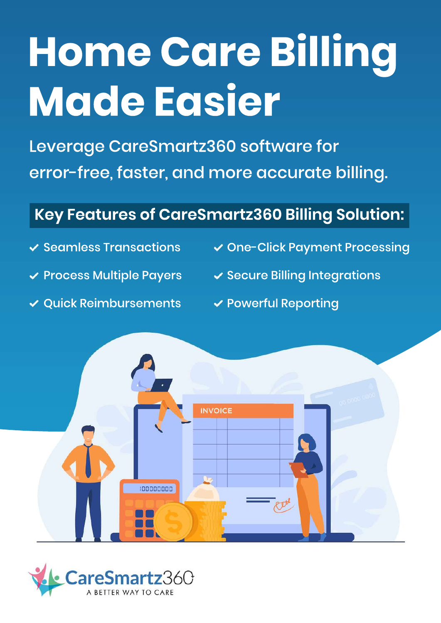# **HomeCareBilling MadeEasier**

Leverage CareSmartz360 software for error-free, faster, and more accurate billing.

#### Key Features of CareSmartz360 Billing Solution:

- 
- 
- ✔ Quick Reimbursements → Powerful Reporting
- $\checkmark$  Seamless Transactions  $\checkmark$  One-Click Payment Processing
- $\checkmark$  Process Multiple Payers  $\checkmark$  Secure Billing Integrations
	-



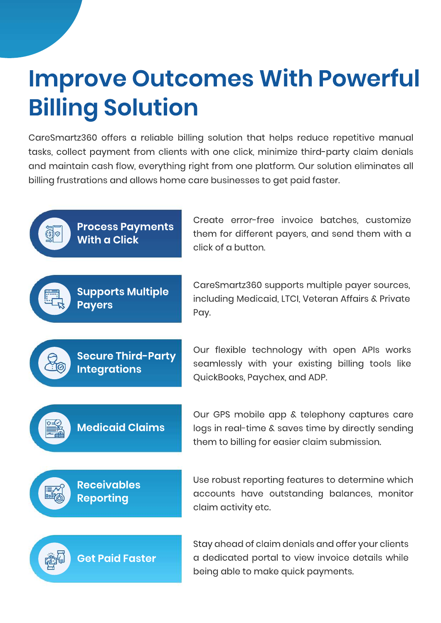## **Improve Outcomes With Powerful Billing Solution**

CareSmartz360 offers a reliable billing solution that helps reduce repetitive manual tasks, collect payment from clients with one click, minimize third-party claim denials and maintain cash flow, everything right from one platform. Our solution eliminates all billing frustrations and allows home care businesses to get paid faster.

**Process Payments**  $\circledS$ **With a Click** 

them for different payers, and send them with a click of a button.

**Supports Multiple Payers**

CareSmartz360 supports multiple payer sources, including Medicaid, LTCI, Veteran Affairs & Private Pay.

Create error-free invoice batches, customize



Our flexible technology with open APIs works seamlessly with your existing billing tools like QuickBooks, Paychex, and ADP.

**Medicaid Claims** 

Our GPS mobile app & telephony captures care logs in real-time & saves time by directly sending them to billing for easier claim submission.

**Receivables Reporting**

Use robust reporting features to determine which accounts have outstanding balances, monitor claim activity etc.



Stay ahead of claim denials and offer your clients a dedicated portal to view invoice details while being able to make quick payments.